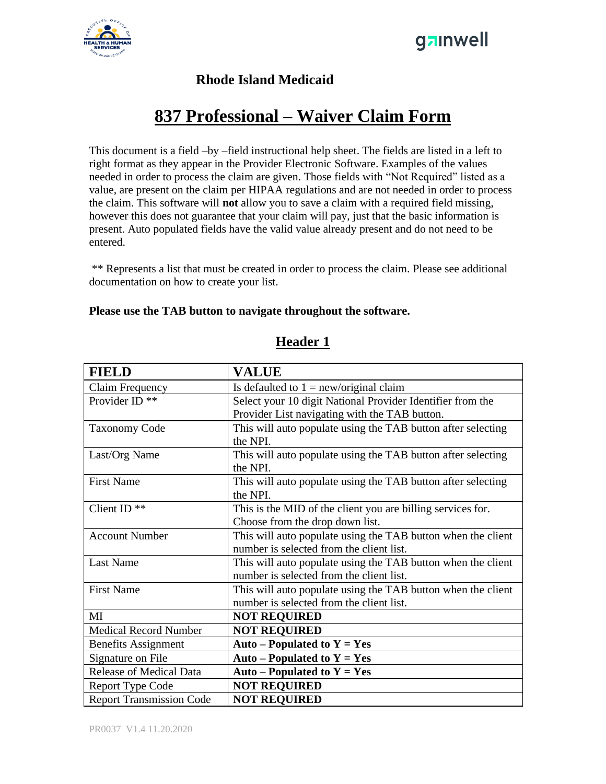



#### **Rhode Island Medicaid**

## **837 Professional – Waiver Claim Form**

This document is a field –by –field instructional help sheet. The fields are listed in a left to right format as they appear in the Provider Electronic Software. Examples of the values needed in order to process the claim are given. Those fields with "Not Required" listed as a value, are present on the claim per HIPAA regulations and are not needed in order to process the claim. This software will **not** allow you to save a claim with a required field missing, however this does not guarantee that your claim will pay, just that the basic information is present. Auto populated fields have the valid value already present and do not need to be entered.

\*\* Represents a list that must be created in order to process the claim. Please see additional documentation on how to create your list.

#### **Please use the TAB button to navigate throughout the software.**

| <b>FIELD</b>                    | <b>VALUE</b>                                                 |
|---------------------------------|--------------------------------------------------------------|
| Claim Frequency                 | Is defaulted to $1 = new/original claim$                     |
| Provider ID <sup>**</sup>       | Select your 10 digit National Provider Identifier from the   |
|                                 | Provider List navigating with the TAB button.                |
| <b>Taxonomy Code</b>            | This will auto populate using the TAB button after selecting |
|                                 | the NPI.                                                     |
| Last/Org Name                   | This will auto populate using the TAB button after selecting |
|                                 | the NPI.                                                     |
| <b>First Name</b>               | This will auto populate using the TAB button after selecting |
|                                 | the NPI.                                                     |
| Client ID $**$                  | This is the MID of the client you are billing services for.  |
|                                 | Choose from the drop down list.                              |
| <b>Account Number</b>           | This will auto populate using the TAB button when the client |
|                                 | number is selected from the client list.                     |
| <b>Last Name</b>                | This will auto populate using the TAB button when the client |
|                                 | number is selected from the client list.                     |
| <b>First Name</b>               | This will auto populate using the TAB button when the client |
|                                 | number is selected from the client list.                     |
| MI                              | <b>NOT REQUIRED</b>                                          |
| <b>Medical Record Number</b>    | <b>NOT REQUIRED</b>                                          |
| <b>Benefits Assignment</b>      | Auto – Populated to $Y = Yes$                                |
| Signature on File               | Auto – Populated to $Y = Yes$                                |
| Release of Medical Data         | Auto – Populated to $Y = Yes$                                |
| <b>Report Type Code</b>         | <b>NOT REQUIRED</b>                                          |
| <b>Report Transmission Code</b> | <b>NOT REQUIRED</b>                                          |

#### **Header 1**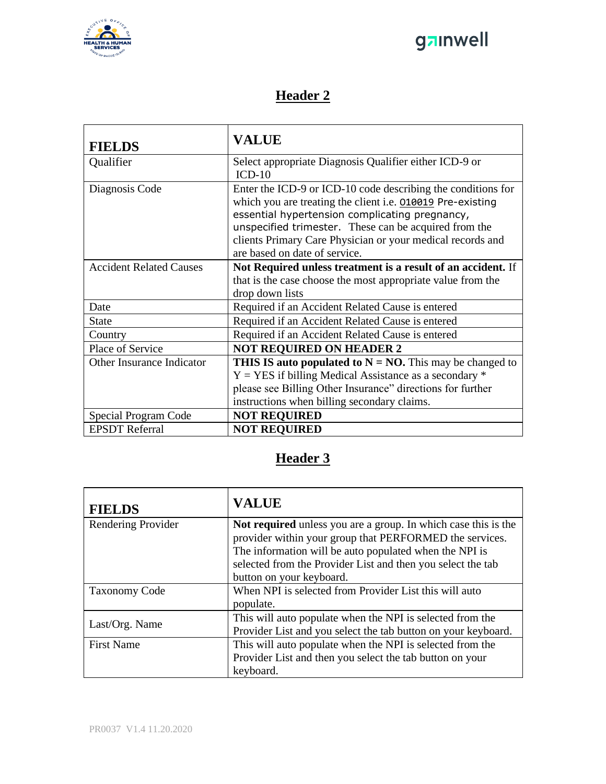

# ganwell

### **Header 2**

| <b>FIELDS</b>                  | <b>VALUE</b>                                                                                                                                                                                                                                                                                                                         |
|--------------------------------|--------------------------------------------------------------------------------------------------------------------------------------------------------------------------------------------------------------------------------------------------------------------------------------------------------------------------------------|
| Qualifier                      | Select appropriate Diagnosis Qualifier either ICD-9 or<br>$ICD-10$                                                                                                                                                                                                                                                                   |
| Diagnosis Code                 | Enter the ICD-9 or ICD-10 code describing the conditions for<br>which you are treating the client i.e. 010019 Pre-existing<br>essential hypertension complicating pregnancy,<br>unspecified trimester. These can be acquired from the<br>clients Primary Care Physician or your medical records and<br>are based on date of service. |
| <b>Accident Related Causes</b> | Not Required unless treatment is a result of an accident. If<br>that is the case choose the most appropriate value from the<br>drop down lists                                                                                                                                                                                       |
| Date                           | Required if an Accident Related Cause is entered                                                                                                                                                                                                                                                                                     |
| <b>State</b>                   | Required if an Accident Related Cause is entered                                                                                                                                                                                                                                                                                     |
| Country                        | Required if an Accident Related Cause is entered                                                                                                                                                                                                                                                                                     |
| Place of Service               | <b>NOT REQUIRED ON HEADER 2</b>                                                                                                                                                                                                                                                                                                      |
| Other Insurance Indicator      | <b>THIS IS auto populated to <math>N = NO</math>.</b> This may be changed to<br>$Y = YES$ if billing Medical Assistance as a secondary $*$<br>please see Billing Other Insurance" directions for further<br>instructions when billing secondary claims.                                                                              |
| Special Program Code           | <b>NOT REQUIRED</b>                                                                                                                                                                                                                                                                                                                  |
| <b>EPSDT</b> Referral          | <b>NOT REQUIRED</b>                                                                                                                                                                                                                                                                                                                  |

### **Header 3**

| <b>FIELDS</b>        | <b>VALUE</b>                                                   |
|----------------------|----------------------------------------------------------------|
| Rendering Provider   | Not required unless you are a group. In which case this is the |
|                      | provider within your group that PERFORMED the services.        |
|                      | The information will be auto populated when the NPI is         |
|                      | selected from the Provider List and then you select the tab    |
|                      | button on your keyboard.                                       |
| <b>Taxonomy Code</b> | When NPI is selected from Provider List this will auto         |
|                      | populate.                                                      |
| Last/Org. Name       | This will auto populate when the NPI is selected from the      |
|                      | Provider List and you select the tab button on your keyboard.  |
| <b>First Name</b>    | This will auto populate when the NPI is selected from the      |
|                      | Provider List and then you select the tab button on your       |
|                      | keyboard.                                                      |